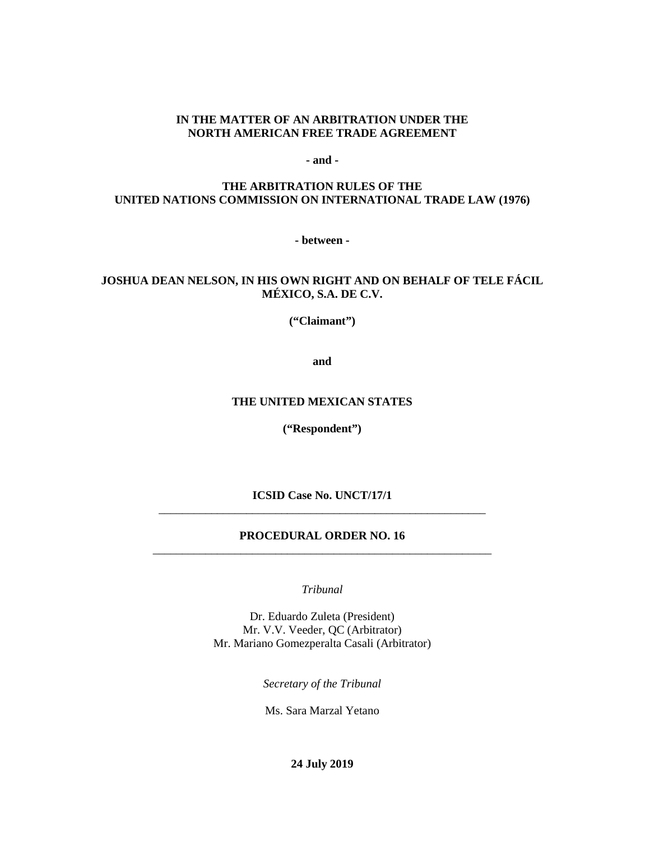# **IN THE MATTER OF AN ARBITRATION UNDER THE NORTH AMERICAN FREE TRADE AGREEMENT**

**- and -**

# **THE ARBITRATION RULES OF THE UNITED NATIONS COMMISSION ON INTERNATIONAL TRADE LAW (1976)**

**- between -**

# **JOSHUA DEAN NELSON, IN HIS OWN RIGHT AND ON BEHALF OF TELE FÁCIL MÉXICO, S.A. DE C.V.**

**("Claimant")**

**and**

#### **THE UNITED MEXICAN STATES**

**("Respondent")**

**ICSID Case No. UNCT/17/1** \_\_\_\_\_\_\_\_\_\_\_\_\_\_\_\_\_\_\_\_\_\_\_\_\_\_\_\_\_\_\_\_\_\_\_\_\_\_\_\_\_\_\_\_\_\_\_\_\_\_\_\_\_\_\_\_

### **PROCEDURAL ORDER NO. 16** \_\_\_\_\_\_\_\_\_\_\_\_\_\_\_\_\_\_\_\_\_\_\_\_\_\_\_\_\_\_\_\_\_\_\_\_\_\_\_\_\_\_\_\_\_\_\_\_\_\_\_\_\_\_\_\_\_\_

*Tribunal*

Dr. Eduardo Zuleta (President) Mr. V.V. Veeder, QC (Arbitrator) Mr. Mariano Gomezperalta Casali (Arbitrator)

*Secretary of the Tribunal*

Ms. Sara Marzal Yetano

**24 July 2019**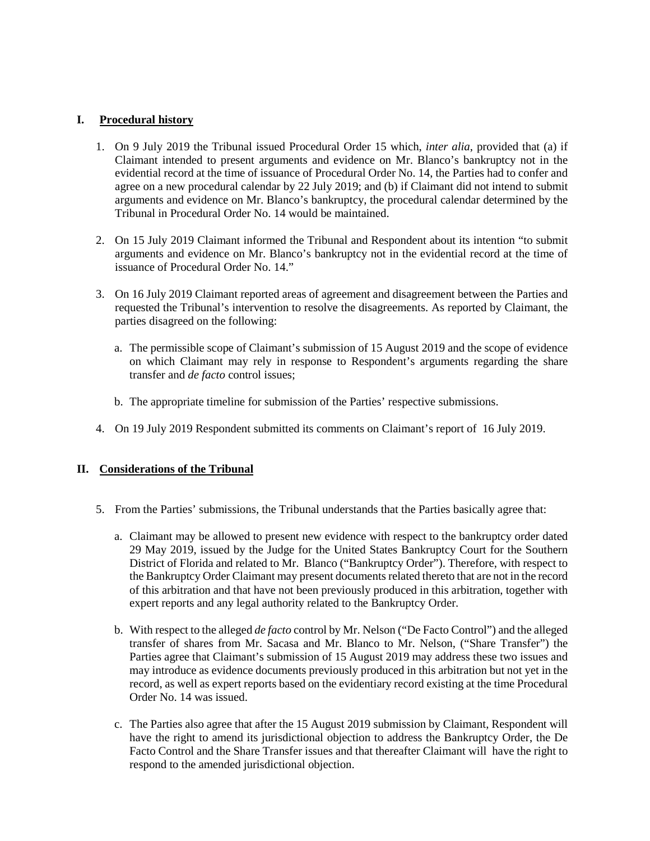# **I. Procedural history**

- 1. On 9 July 2019 the Tribunal issued Procedural Order 15 which, *inter alia*, provided that (a) if Claimant intended to present arguments and evidence on Mr. Blanco's bankruptcy not in the evidential record at the time of issuance of Procedural Order No. 14, the Parties had to confer and agree on a new procedural calendar by 22 July 2019; and (b) if Claimant did not intend to submit arguments and evidence on Mr. Blanco's bankruptcy, the procedural calendar determined by the Tribunal in Procedural Order No. 14 would be maintained.
- 2. On 15 July 2019 Claimant informed the Tribunal and Respondent about its intention "to submit arguments and evidence on Mr. Blanco's bankruptcy not in the evidential record at the time of issuance of Procedural Order No. 14"
- 3. On 16 July 2019 Claimant reported areas of agreement and disagreement between the Parties and requested the Tribunal's intervention to resolve the disagreements. As reported by Claimant, the parties disagreed on the following:
	- a. The permissible scope of Claimant's submission of 15 August 2019 and the scope of evidence on which Claimant may rely in response to Respondent's arguments regarding the share transfer and *de facto* control issues;
	- b. The appropriate timeline for submission of the Parties' respective submissions.
- 4. On 19 July 2019 Respondent submitted its comments on Claimant's report of 16 July 2019.

# **II. Considerations of the Tribunal**

- 5. From the Parties' submissions, the Tribunal understands that the Parties basically agree that:
	- a. Claimant may be allowed to present new evidence with respect to the bankruptcy order dated 29 May 2019, issued by the Judge for the United States Bankruptcy Court for the Southern District of Florida and related to Mr. Blanco ("Bankruptcy Order"). Therefore, with respect to the Bankruptcy Order Claimant may present documents related thereto that are not in the record of this arbitration and that have not been previously produced in this arbitration, together with expert reports and any legal authority related to the Bankruptcy Order.
	- b. With respect to the alleged *de facto* control by Mr. Nelson ("De Facto Control") and the alleged transfer of shares from Mr. Sacasa and Mr. Blanco to Mr. Nelson, ("Share Transfer") the Parties agree that Claimant's submission of 15 August 2019 may address these two issues and may introduce as evidence documents previously produced in this arbitration but not yet in the record, as well as expert reports based on the evidentiary record existing at the time Procedural Order No. 14 was issued.
	- c. The Parties also agree that after the 15 August 2019 submission by Claimant, Respondent will have the right to amend its jurisdictional objection to address the Bankruptcy Order, the De Facto Control and the Share Transfer issues and that thereafter Claimant will have the right to respond to the amended jurisdictional objection.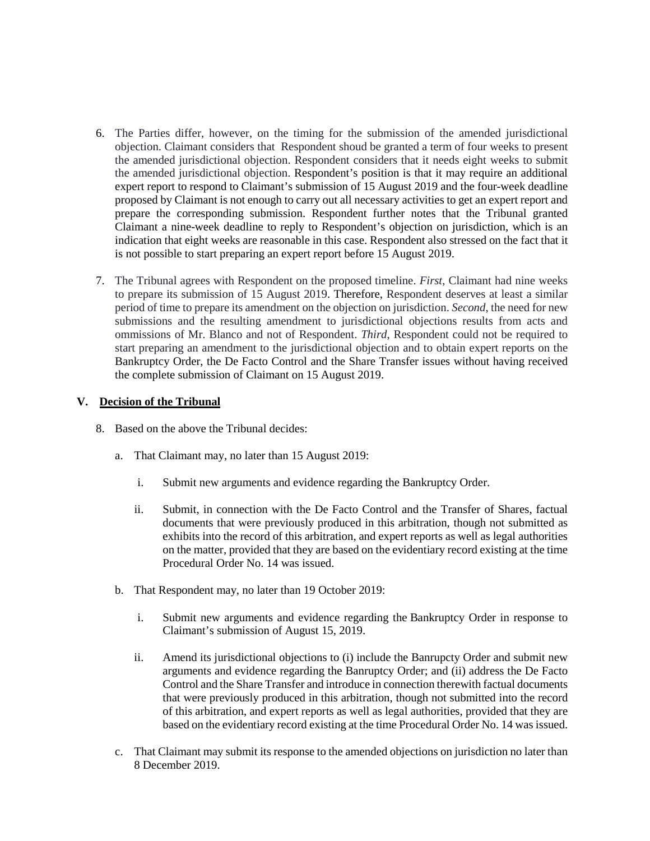- 6. The Parties differ, however, on the timing for the submission of the amended jurisdictional objection. Claimant considers that Respondent shoud be granted a term of four weeks to present the amended jurisdictional objection. Respondent considers that it needs eight weeks to submit the amended jurisdictional objection. Respondent's position is that it may require an additional expert report to respond to Claimant's submission of 15 August 2019 and the four-week deadline proposed by Claimant is not enough to carry out all necessary activities to get an expert report and prepare the corresponding submission. Respondent further notes that the Tribunal granted Claimant a nine-week deadline to reply to Respondent's objection on jurisdiction, which is an indication that eight weeks are reasonable in this case. Respondent also stressed on the fact that it is not possible to start preparing an expert report before 15 August 2019.
- 7. The Tribunal agrees with Respondent on the proposed timeline. *First*, Claimant had nine weeks to prepare its submission of 15 August 2019. Therefore, Respondent deserves at least a similar period of time to prepare its amendment on the objection on jurisdiction. *Second*, the need for new submissions and the resulting amendment to jurisdictional objections results from acts and ommissions of Mr. Blanco and not of Respondent. *Third*, Respondent could not be required to start preparing an amendment to the jurisdictional objection and to obtain expert reports on the Bankruptcy Order, the De Facto Control and the Share Transfer issues without having received the complete submission of Claimant on 15 August 2019.

# **V. Decision of the Tribunal**

- 8. Based on the above the Tribunal decides:
	- a. That Claimant may, no later than 15 August 2019:
		- i. Submit new arguments and evidence regarding the Bankruptcy Order.
		- ii. Submit, in connection with the De Facto Control and the Transfer of Shares, factual documents that were previously produced in this arbitration, though not submitted as exhibits into the record of this arbitration, and expert reports as well as legal authorities on the matter, provided that they are based on the evidentiary record existing at the time Procedural Order No. 14 was issued.
	- b. That Respondent may, no later than 19 October 2019:
		- i. Submit new arguments and evidence regarding the Bankruptcy Order in response to Claimant's submission of August 15, 2019.
		- ii. Amend its jurisdictional objections to (i) include the Banrupcty Order and submit new arguments and evidence regarding the Banruptcy Order; and (ii) address the De Facto Control and the Share Transfer and introduce in connection therewith factual documents that were previously produced in this arbitration, though not submitted into the record of this arbitration, and expert reports as well as legal authorities, provided that they are based on the evidentiary record existing at the time Procedural Order No. 14 was issued.
	- c. That Claimant may submit its response to the amended objections on jurisdiction no later than 8 December 2019.